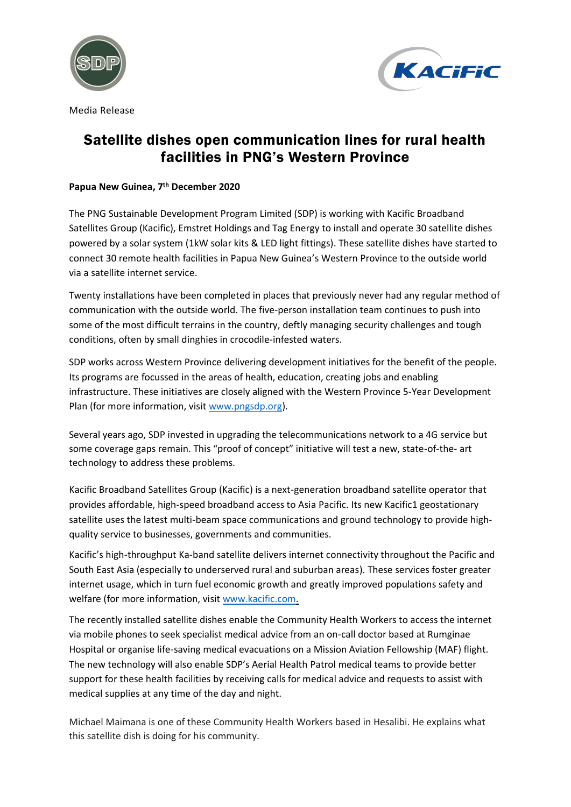



Media Release

## Satellite dishes open communication lines for rural health facilities in PNG's Western Province

## **Papua New Guinea, 7 th December 2020**

The PNG Sustainable Development Program Limited (SDP) is working with Kacific Broadband Satellites Group (Kacific), Emstret Holdings and Tag Energy to install and operate 30 satellite dishes powered by a solar system (1kW solar kits & LED light fittings). These satellite dishes have started to connect 30 remote health facilities in Papua New Guinea's Western Province to the outside world via a satellite internet service.

Twenty installations have been completed in places that previously never had any regular method of communication with the outside world. The five-person installation team continues to push into some of the most difficult terrains in the country, deftly managing security challenges and tough conditions, often by small dinghies in crocodile-infested waters.

SDP works across Western Province delivering development initiatives for the benefit of the people. Its programs are focussed in the areas of health, education, creating jobs and enabling infrastructure. These initiatives are closely aligned with the Western Province 5-Year Development Plan (for more information, visit [www.pngsdp.org\)](http://www.pngsdp.org/).

Several years ago, SDP invested in upgrading the telecommunications network to a 4G service but some coverage gaps remain. This "proof of concept" initiative will test a new, state-of-the- art technology to address these problems.

Kacific Broadband Satellites Group (Kacific) is a next-generation broadband satellite operator that provides affordable, high-speed broadband access to Asia Pacific. Its new Kacific1 geostationary satellite uses the latest multi-beam space communications and ground technology to provide highquality service to businesses, governments and communities.

Kacific's high-throughput Ka-band satellite delivers internet connectivity throughout the Pacific and South East Asia (especially to underserved rural and suburban areas). These services foster greater internet usage, which in turn fuel economic growth and greatly improved populations safety and welfare (for more information, visit [www.kacific.com.](http://www.kacific.com/)

The recently installed satellite dishes enable the Community Health Workers to access the internet via mobile phones to seek specialist medical advice from an on-call doctor based at Rumginae Hospital or organise life-saving medical evacuations on a Mission Aviation Fellowship (MAF) flight. The new technology will also enable SDP's Aerial Health Patrol medical teams to provide better support for these health facilities by receiving calls for medical advice and requests to assist with medical supplies at any time of the day and night.

Michael Maimana is one of these Community Health Workers based in Hesalibi. He explains what this satellite dish is doing for his community.